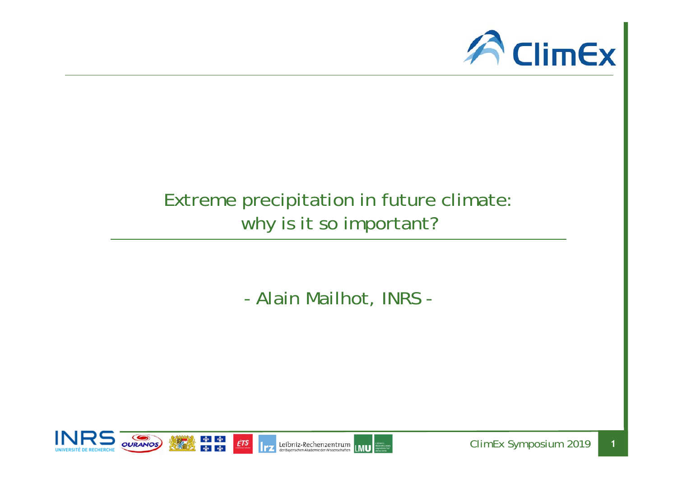

## Extreme precipitation in future climate: why is it so important?

- Alain Mailhot, INRS -



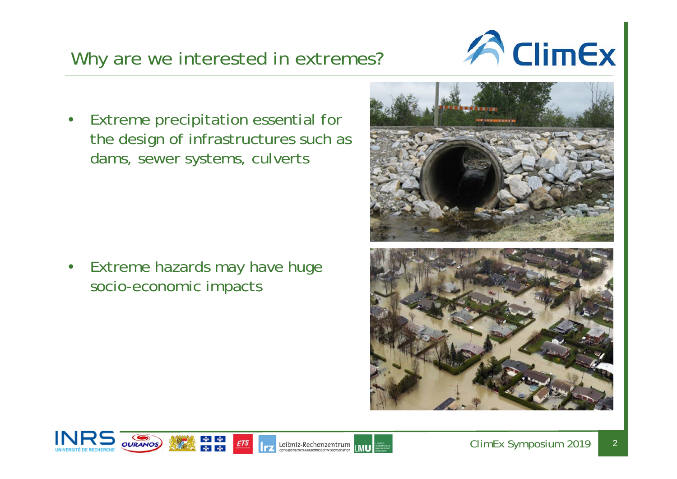## • Extreme precipitation essential for the design of infrastructures such as dams, sewer systems, culverts

Why are we interested in extremes?

 $\bullet$  Extreme hazards may have huge socio-economic impacts

\* \*<br>\* \*







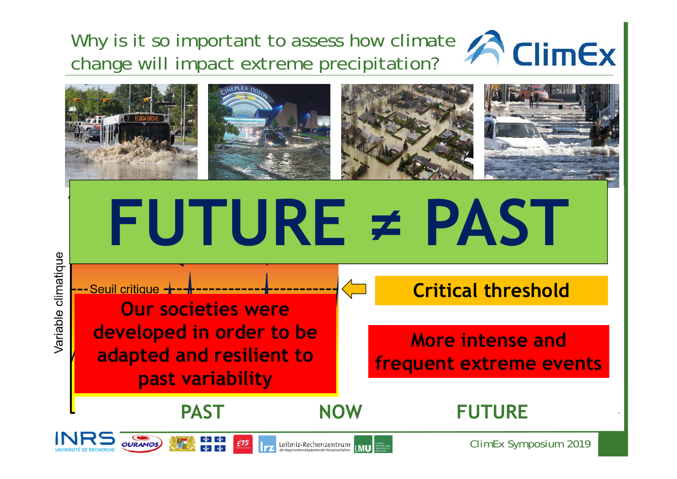Why is it so important to assess how climate **A** ClimEx change will impact extreme precipitation?



Variable climatique

**FUTURE ≠ PAST Critical thresholdOur societies were developed in order to be More intense and adapted and resilient to frequent extreme events past variability NOWPASTFUTURE**

Leibniz-Rechenzentrum



**OURANOS** 

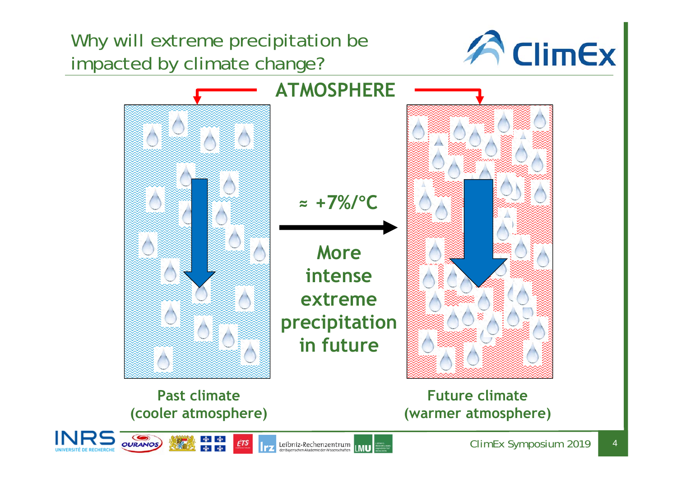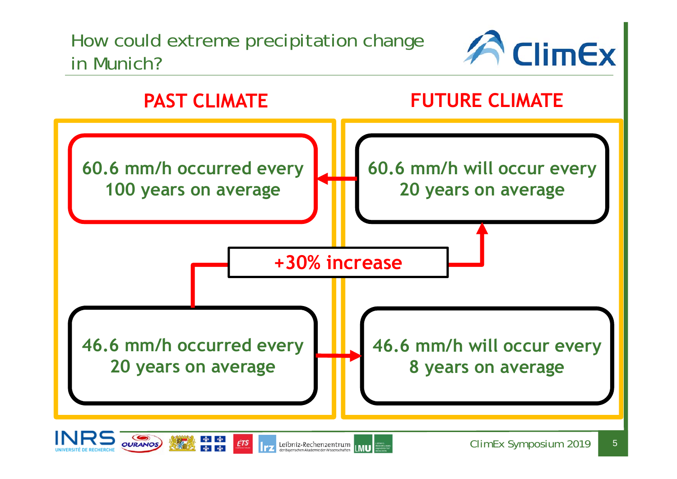## How could extreme precipitation change in Munich?









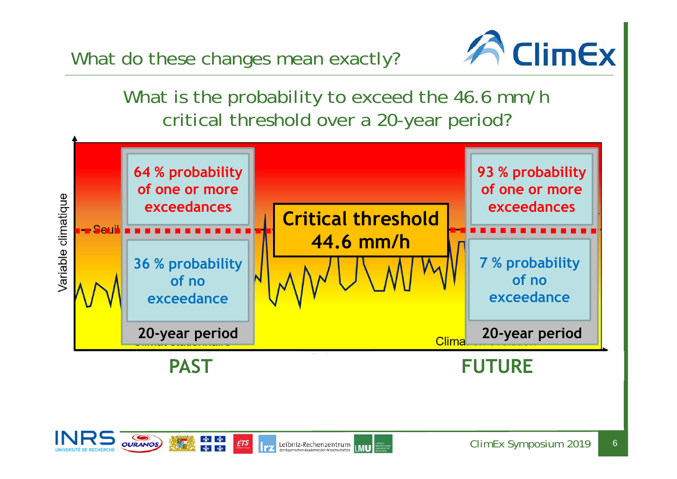What do these changes mean exactly?



What is the probability to exceed the 46.6 mm/h critical threshold over a 20-year period?



Leibniz-Rechenzentrum